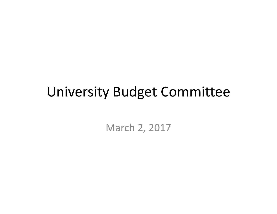# University Budget Committee

March 2, 2017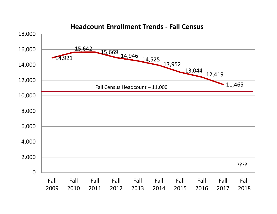

#### **Headcount Enrollment Trends ‐ Fall Census**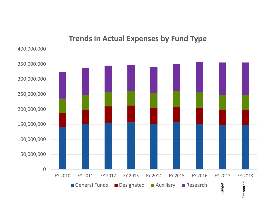### 400,000,000 350,000,000 300,000,000 250,000,000 200,000,000 150,000,000 100,000,000 50,000,000 0FY 2010 2010 FY 2011 FY 2012 FY 2013 FY 2014 FY 2015 FY 2016 FY 2017 FY 2018Budget Estimated Designated Auxiliary Research EstimatedGeneral Funds

### **Trends in Actual Expenses by Fund Type**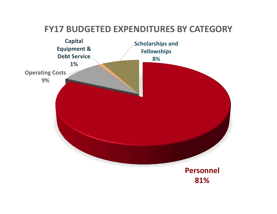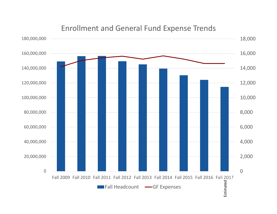

#### Enrollment and General Fund Expense Trends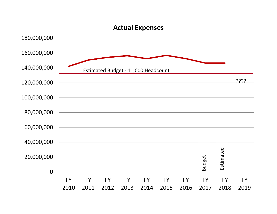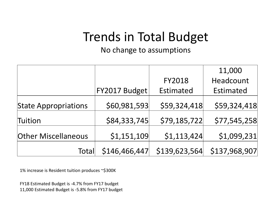### Trends in Total Budget

No change to assumptions

|                             |               |                  | 11,000        |
|-----------------------------|---------------|------------------|---------------|
|                             |               | <b>FY2018</b>    | Headcount     |
|                             | FY2017 Budget | <b>Estimated</b> | Estimated     |
| <b>State Appropriations</b> | \$60,981,593  | \$59,324,418     | \$59,324,418  |
| Tuition                     | \$84,333,745  | \$79,185,722     | \$77,545,258  |
| <b>Other Miscellaneous</b>  | \$1,151,109   | \$1,113,424      | \$1,099,231   |
| Total                       | \$146,466,447 | \$139,623,564    | \$137,968,907 |

1% increase is Resident tuition produces ~\$300K

FY18 Estimated Budget is ‐4.7% from FY17 budget 11,000 Estimated Budget is ‐5.8% from FY17 budget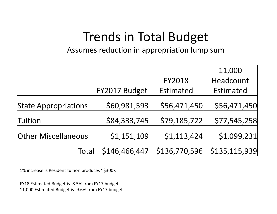## Trends in Total Budget

Assumes reduction in appropriation lump sum

|                             |               |                  | 11,000           |
|-----------------------------|---------------|------------------|------------------|
|                             |               | <b>FY2018</b>    | Headcount        |
|                             | FY2017 Budget | <b>Estimated</b> | <b>Estimated</b> |
| <b>State Appropriations</b> | \$60,981,593  | \$56,471,450     | \$56,471,450     |
| Tuition                     | \$84,333,745  | \$79,185,722     | \$77,545,258     |
| <b>Other Miscellaneous</b>  | \$1,151,109   | \$1,113,424      | \$1,099,231      |
| Total                       | \$146,466,447 | \$136,770,596    | \$135,115,939    |

1% increase is Resident tuition produces ~\$300K

FY18 Estimated Budget is ‐8.5% from FY17 budget 11,000 Estimated Budget is ‐9.6% from FY17 budget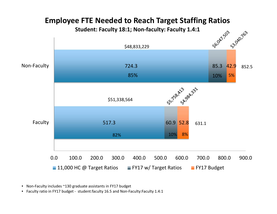

### **Employee FTE Needed to Reach Target Staffing Ratios**

**Student: Faculty 18:1; Non‐faculty: Faculty 1.4:1**

• Non‐Faculty includes ~130 graduate assistants in FY17 budget

• Faculty ratio in FY17 budget ‐ student:faculty 16.5 and Non‐Faculty:Faculty 1.4:1